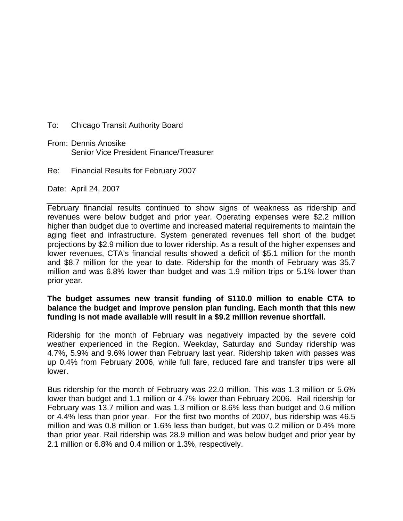- To: Chicago Transit Authority Board
- From: Dennis Anosike Senior Vice President Finance/Treasurer
- Re: Financial Results for February 2007

Date: April 24, 2007

February financial results continued to show signs of weakness as ridership and revenues were below budget and prior year. Operating expenses were \$2.2 million higher than budget due to overtime and increased material requirements to maintain the aging fleet and infrastructure. System generated revenues fell short of the budget projections by \$2.9 million due to lower ridership. As a result of the higher expenses and lower revenues, CTA's financial results showed a deficit of \$5.1 million for the month and \$8.7 million for the year to date. Ridership for the month of February was 35.7 million and was 6.8% lower than budget and was 1.9 million trips or 5.1% lower than prior year.

## **The budget assumes new transit funding of \$110.0 million to enable CTA to balance the budget and improve pension plan funding. Each month that this new funding is not made available will result in a \$9.2 million revenue shortfall.**

Ridership for the month of February was negatively impacted by the severe cold weather experienced in the Region. Weekday, Saturday and Sunday ridership was 4.7%, 5.9% and 9.6% lower than February last year. Ridership taken with passes was up 0.4% from February 2006, while full fare, reduced fare and transfer trips were all lower.

Bus ridership for the month of February was 22.0 million. This was 1.3 million or 5.6% lower than budget and 1.1 million or 4.7% lower than February 2006. Rail ridership for February was 13.7 million and was 1.3 million or 8.6% less than budget and 0.6 million or 4.4% less than prior year. For the first two months of 2007, bus ridership was 46.5 million and was 0.8 million or 1.6% less than budget, but was 0.2 million or 0.4% more than prior year. Rail ridership was 28.9 million and was below budget and prior year by 2.1 million or 6.8% and 0.4 million or 1.3%, respectively.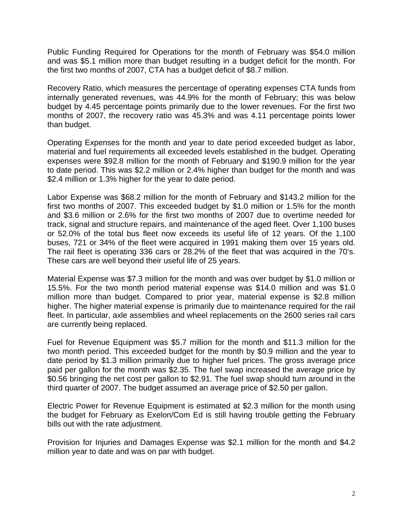Public Funding Required for Operations for the month of February was \$54.0 million and was \$5.1 million more than budget resulting in a budget deficit for the month. For the first two months of 2007, CTA has a budget deficit of \$8.7 million.

Recovery Ratio, which measures the percentage of operating expenses CTA funds from internally generated revenues, was 44.9% for the month of February; this was below budget by 4.45 percentage points primarily due to the lower revenues. For the first two months of 2007, the recovery ratio was 45.3% and was 4.11 percentage points lower than budget.

Operating Expenses for the month and year to date period exceeded budget as labor, material and fuel requirements all exceeded levels established in the budget. Operating expenses were \$92.8 million for the month of February and \$190.9 million for the year to date period. This was \$2.2 million or 2.4% higher than budget for the month and was \$2.4 million or 1.3% higher for the year to date period.

Labor Expense was \$68.2 million for the month of February and \$143.2 million for the first two months of 2007. This exceeded budget by \$1.0 million or 1.5% for the month and \$3.6 million or 2.6% for the first two months of 2007 due to overtime needed for track, signal and structure repairs, and maintenance of the aged fleet. Over 1,100 buses or 52.0% of the total bus fleet now exceeds its useful life of 12 years. Of the 1,100 buses, 721 or 34% of the fleet were acquired in 1991 making them over 15 years old. The rail fleet is operating 336 cars or 28.2% of the fleet that was acquired in the 70's. These cars are well beyond their useful life of 25 years.

Material Expense was \$7.3 million for the month and was over budget by \$1.0 million or 15.5%. For the two month period material expense was \$14.0 million and was \$1.0 million more than budget. Compared to prior year, material expense is \$2.8 million higher. The higher material expense is primarily due to maintenance required for the rail fleet. In particular, axle assemblies and wheel replacements on the 2600 series rail cars are currently being replaced.

Fuel for Revenue Equipment was \$5.7 million for the month and \$11.3 million for the two month period. This exceeded budget for the month by \$0.9 million and the year to date period by \$1.3 million primarily due to higher fuel prices. The gross average price paid per gallon for the month was \$2.35. The fuel swap increased the average price by \$0.56 bringing the net cost per gallon to \$2.91. The fuel swap should turn around in the third quarter of 2007. The budget assumed an average price of \$2.50 per gallon.

Electric Power for Revenue Equipment is estimated at \$2.3 million for the month using the budget for February as Exelon/Com Ed is still having trouble getting the February bills out with the rate adjustment.

Provision for Injuries and Damages Expense was \$2.1 million for the month and \$4.2 million year to date and was on par with budget.